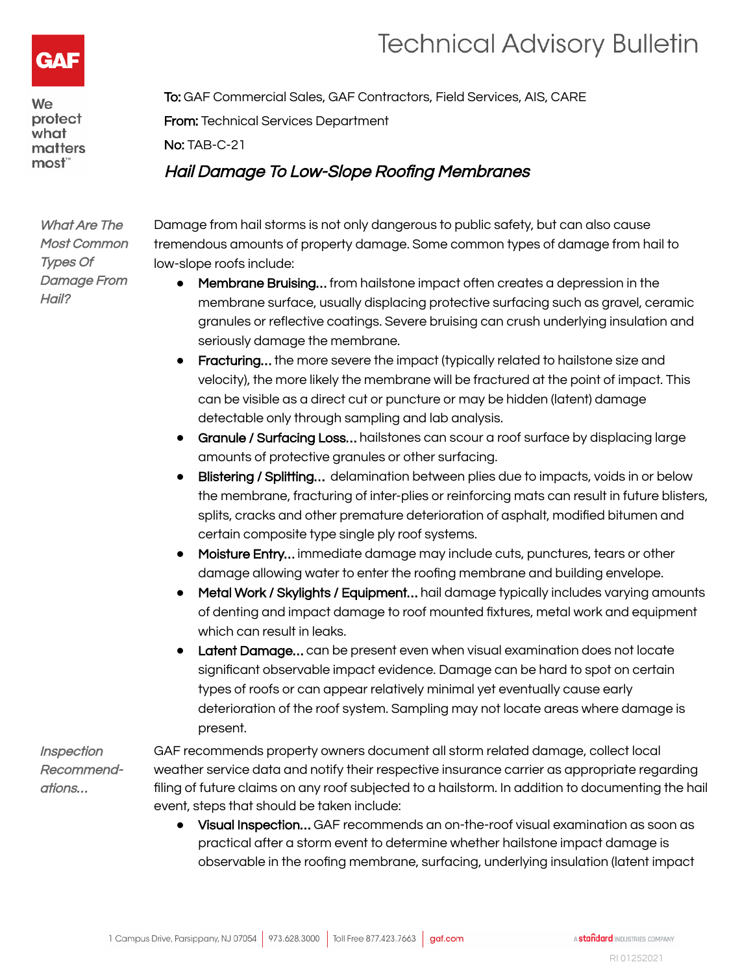



We protect what matters most"

To: GAF Commercial Sales, GAF Contractors, Field Services, AIS, CARE From: Technical Services Department No: TAB-C-21 Hail Damage To Low-Slope Roofing Membranes

What Are The Most Common Types Of Damage From Hail?

Damage from hail storms is not only dangerous to public safety, but can also cause tremendous amounts of property damage. Some common types of damage from hail to low-slope roofs include:

- Membrane Bruising… from hailstone impact often creates a depression in the membrane surface, usually displacing protective surfacing such as gravel, ceramic granules or reflective coatings. Severe bruising can crush underlying insulation and seriously damage the membrane.
- Fracturing… the more severe the impact (typically related to hailstone size and velocity), the more likely the membrane will be fractured at the point of impact. This can be visible as a direct cut or puncture or may be hidden (latent) damage detectable only through sampling and lab analysis.
- Granule / Surfacing Loss... hailstones can scour a roof surface by displacing large amounts of protective granules or other surfacing.
- Blistering / Splitting... delamination between plies due to impacts, voids in or below the membrane, fracturing of inter-plies or reinforcing mats can result in future blisters, splits, cracks and other premature deterioration of asphalt, modified bitumen and certain composite type single ply roof systems.
- Moisture Entry… immediate damage may include cuts, punctures, tears or other damage allowing water to enter the roofing membrane and building envelope.
- Metal Work / Skylights / Equipment… hail damage typically includes varying amounts of denting and impact damage to roof mounted fixtures, metal work and equipment which can result in leaks.
- Latent Damage... can be present even when visual examination does not locate significant observable impact evidence. Damage can be hard to spot on certain types of roofs or can appear relatively minimal yet eventually cause early deterioration of the roof system. Sampling may not locate areas where damage is present.

**Inspection** Recommendations…

GAF recommends property owners document all storm related damage, collect local weather service data and notify their respective insurance carrier as appropriate regarding filing of future claims on any roof subjected to a hailstorm. In addition to documenting the hail event, steps that should be taken include:

● Visual Inspection… GAF recommends an on-the-roof visual examination as soon as practical after a storm event to determine whether hailstone impact damage is observable in the roofing membrane, surfacing, underlying insulation (latent impact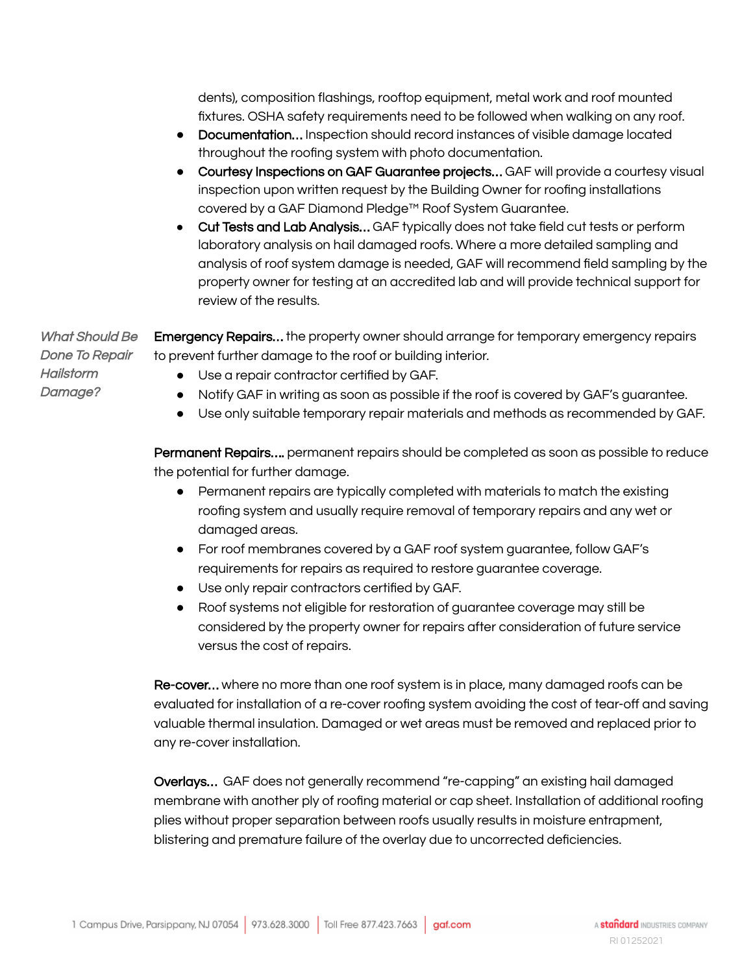dents), composition flashings, rooftop equipment, metal work and roof mounted fixtures. OSHA safety requirements need to be followed when walking on any roof.

- Documentation… Inspection should record instances of visible damage located throughout the roofing system with photo documentation.
- Courtesy Inspections on GAF Guarantee projects... GAF will provide a courtesy visual inspection upon written request by the Building Owner for roofing installations covered by a GAF Diamond Pledge™ Roof System Guarantee.
- Cut Tests and Lab Analysis... GAF typically does not take field cut tests or perform laboratory analysis on hail damaged roofs. Where a more detailed sampling and analysis of roof system damage is needed, GAF will recommend field sampling by the property owner for testing at an accredited lab and will provide technical support for review of the results.

What Should Be Done To Repair Emergency Repairs… the property owner should arrange for temporary emergency repairs to prevent further damage to the roof or building interior.

- **Hailstorm** Damage?
- Use a repair contractor certified by GAF.
- Notify GAF in writing as soon as possible if the roof is covered by GAF's guarantee.
- Use only suitable temporary repair materials and methods as recommended by GAF.

Permanent Repairs.... permanent repairs should be completed as soon as possible to reduce the potential for further damage.

- Permanent repairs are typically completed with materials to match the existing roofing system and usually require removal of temporary repairs and any wet or damaged areas.
- For roof membranes covered by a GAF roof system guarantee, follow GAF's requirements for repairs as required to restore guarantee coverage.
- Use only repair contractors certified by GAF.
- Roof systems not eligible for restoration of guarantee coverage may still be considered by the property owner for repairs after consideration of future service versus the cost of repairs.

Re-cover… where no more than one roof system is in place, many damaged roofs can be evaluated for installation of a re-cover roofing system avoiding the cost of tear-off and saving valuable thermal insulation. Damaged or wet areas must be removed and replaced prior to any re-cover installation.

Overlays… GAF does not generally recommend "re-capping" an existing hail damaged membrane with another ply of roofing material or cap sheet. Installation of additional roofing plies without proper separation between roofs usually results in moisture entrapment, blistering and premature failure of the overlay due to uncorrected deficiencies.